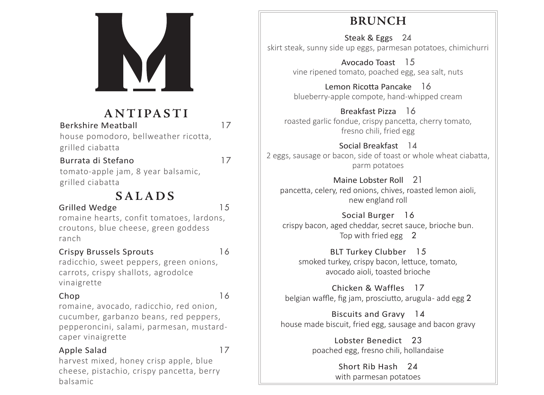

## **ANTIPASTI**

Berkshire Meatball **17** 

house pomodoro, bellweather ricotta, grilled ciabatta

## Burrata di Stefano 17

tomato-apple jam, 8 year balsamic, grilled ciabatta

## **SALADS**

### Grilled Wedge 15

romaine hearts, confit tomatoes, lardons, croutons, blue cheese, green goddess ranch

### Crispy Brussels Sprouts 16

radicchio, sweet peppers, green onions, carrots, crispy shallots, agrodolce vinaigrette

## Chop 16

romaine, avocado, radicchio, red onion, cucumber, garbanzo beans, red peppers, pepperoncini, salami, parmesan, mustardcaper vinaigrette

### Apple Salad 17

harvest mixed, honey crisp apple, blue cheese, pistachio, crispy pancetta, berry balsamic

## **BRUNCH**

Steak & Eggs 24 skirt steak, sunny side up eggs, parmesan potatoes, chimichurri

> Avocado Toast 15 vine ripened tomato, poached egg, sea salt, nuts

> Lemon Ricotta Pancake 16 blueberry-apple compote, hand-whipped cream

Breakfast Pizza 16 roasted garlic fondue, crispy pancetta, cherry tomato, fresno chili, fried egg

Social Breakfast 14 2 eggs, sausage or bacon, side of toast or whole wheat ciabatta, parm potatoes

Maine Lobster Roll 21

pancetta, celery, red onions, chives, roasted lemon aioli, new england roll

Social Burger 16 crispy bacon, aged cheddar, secret sauce, brioche bun. Top with fried egg 2

BLT Turkey Clubber 15 smoked turkey, crispy bacon, lettuce, tomato, avocado aioli, toasted brioche

Chicken & Waffles 17 belgian waffle, fig jam, prosciutto, arugula- add egg 2

Biscuits and Gravy 14 house made biscuit, fried egg, sausage and bacon gravy

> Lobster Benedict 23 poached egg, fresno chili, hollandaise

> > Short Rib Hash 24 with parmesan potatoes